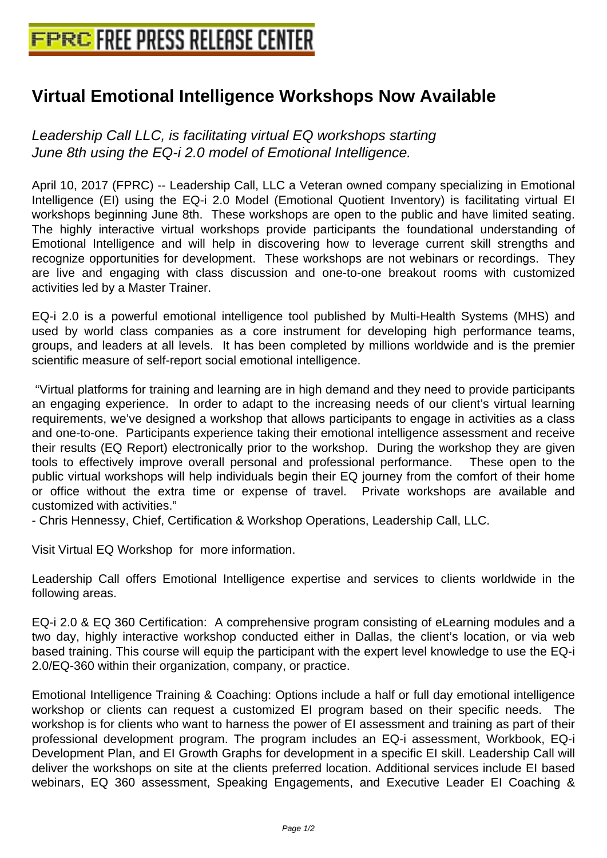## **[Virtual Emotional Intelligence Work](http://www.free-press-release-center.info)shops Now Available**

Leadership Call LLC, is facilitating virtual EQ workshops starting June 8th using the EQ-i 2.0 model of Emotional Intelligence.

April 10, 2017 (FPRC) -- Leadership Call, LLC a Veteran owned company specializing in Emotional Intelligence (EI) using the EQ-i 2.0 Model (Emotional Quotient Inventory) is facilitating virtual EI workshops beginning June 8th. These workshops are open to the public and have limited seating. The highly interactive virtual workshops provide participants the foundational understanding of Emotional Intelligence and will help in discovering how to leverage current skill strengths and recognize opportunities for development. These workshops are not webinars or recordings. They are live and engaging with class discussion and one-to-one breakout rooms with customized activities led by a Master Trainer.

EQ-i 2.0 is a powerful emotional intelligence tool published by Multi-Health Systems (MHS) and used by world class companies as a core instrument for developing high performance teams, groups, and leaders at all levels. It has been completed by millions worldwide and is the premier scientific measure of self-report social emotional intelligence.

 "Virtual platforms for training and learning are in high demand and they need to provide participants an engaging experience. In order to adapt to the increasing needs of our client's virtual learning requirements, we've designed a workshop that allows participants to engage in activities as a class and one-to-one. Participants experience taking their emotional intelligence assessment and receive their results (EQ Report) electronically prior to the workshop. During the workshop they are given tools to effectively improve overall personal and professional performance. These open to the public virtual workshops will help individuals begin their EQ journey from the comfort of their home or office without the extra time or expense of travel. Private workshops are available and customized with activities."

- Chris Hennessy, Chief, Certification & Workshop Operations, Leadership Call, LLC.

Visit Virtual EQ Workshop for more information.

Leadership Call offers Emotional Intelligence expertise and services to clients worldwide in the following areas.

EQ-i 2.0 & EQ 360 Certification: A comprehensive program consisting of eLearning modules and a two day, highly interactive workshop conducted either in Dallas, the client's location, or via web based training. This course will equip the participant with the expert level knowledge to use the EQ-i 2.0/EQ-360 within their organization, company, or practice.

Emotional Intelligence Training & Coaching: Options include a half or full day emotional intelligence workshop or clients can request a customized EI program based on their specific needs. The workshop is for clients who want to harness the power of EI assessment and training as part of their professional development program. The program includes an EQ-i assessment, Workbook, EQ-i Development Plan, and EI Growth Graphs for development in a specific EI skill. Leadership Call will deliver the workshops on site at the clients preferred location. Additional services include EI based webinars, EQ 360 assessment, Speaking Engagements, and Executive Leader EI Coaching &